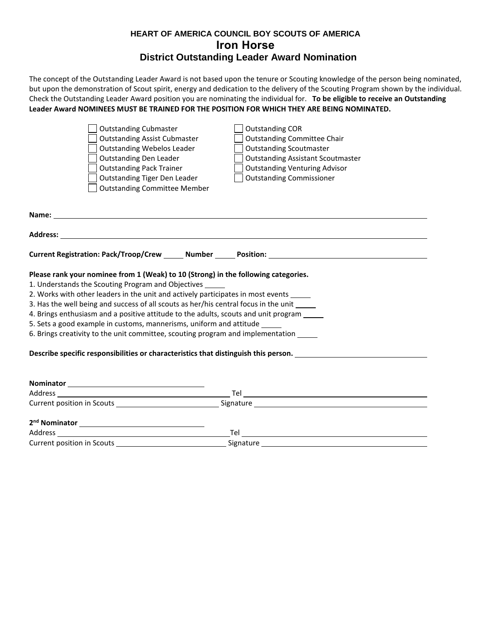## **HEART OF AMERICA COUNCIL BOY SCOUTS OF AMERICA Iron Horse District Outstanding Leader Award Nomination**

The concept of the Outstanding Leader Award is not based upon the tenure or Scouting knowledge of the person being nominated, but upon the demonstration of Scout spirit, energy and dedication to the delivery of the Scouting Program shown by the individual. Check the Outstanding Leader Award position you are nominating the individual for. **To be eligible to receive an Outstanding Leader Award NOMINEES MUST BE TRAINED FOR THE POSITION FOR WHICH THEY ARE BEING NOMINATED.**

|                                                                                            | <b>Outstanding Cubmaster</b>                                                                                                                                                                                                         | <b>Outstanding COR</b>                                                                              |  |  |  |  |  |  |
|--------------------------------------------------------------------------------------------|--------------------------------------------------------------------------------------------------------------------------------------------------------------------------------------------------------------------------------------|-----------------------------------------------------------------------------------------------------|--|--|--|--|--|--|
|                                                                                            | <b>Outstanding Assist Cubmaster</b>                                                                                                                                                                                                  | <b>Outstanding Committee Chair</b>                                                                  |  |  |  |  |  |  |
|                                                                                            | <b>Outstanding Webelos Leader</b>                                                                                                                                                                                                    | <b>Outstanding Scoutmaster</b>                                                                      |  |  |  |  |  |  |
|                                                                                            | <b>Outstanding Den Leader</b>                                                                                                                                                                                                        | <b>Outstanding Assistant Scoutmaster</b>                                                            |  |  |  |  |  |  |
|                                                                                            | <b>Outstanding Pack Trainer</b>                                                                                                                                                                                                      | <b>Outstanding Venturing Advisor</b>                                                                |  |  |  |  |  |  |
|                                                                                            | <b>Outstanding Tiger Den Leader</b>                                                                                                                                                                                                  | <b>Outstanding Commissioner</b>                                                                     |  |  |  |  |  |  |
|                                                                                            | <b>Outstanding Committee Member</b>                                                                                                                                                                                                  |                                                                                                     |  |  |  |  |  |  |
|                                                                                            |                                                                                                                                                                                                                                      |                                                                                                     |  |  |  |  |  |  |
|                                                                                            |                                                                                                                                                                                                                                      |                                                                                                     |  |  |  |  |  |  |
|                                                                                            | Address: <u>with the contract of the contract of the contract of the contract of the contract of the contract of the contract of the contract of the contract of the contract of the contract of the contract of the contract of</u> |                                                                                                     |  |  |  |  |  |  |
|                                                                                            |                                                                                                                                                                                                                                      | Current Registration: Pack/Troop/Crew _______ Number _______ Position: ____________________________ |  |  |  |  |  |  |
|                                                                                            | Please rank your nominee from 1 (Weak) to 10 (Strong) in the following categories.                                                                                                                                                   |                                                                                                     |  |  |  |  |  |  |
|                                                                                            | 1. Understands the Scouting Program and Objectives                                                                                                                                                                                   |                                                                                                     |  |  |  |  |  |  |
|                                                                                            | 2. Works with other leaders in the unit and actively participates in most events _____                                                                                                                                               |                                                                                                     |  |  |  |  |  |  |
| 3. Has the well being and success of all scouts as her/his central focus in the unit _____ |                                                                                                                                                                                                                                      |                                                                                                     |  |  |  |  |  |  |
|                                                                                            | 4. Brings enthusiasm and a positive attitude to the adults, scouts and unit program _____                                                                                                                                            |                                                                                                     |  |  |  |  |  |  |
|                                                                                            | 5. Sets a good example in customs, mannerisms, uniform and attitude                                                                                                                                                                  |                                                                                                     |  |  |  |  |  |  |
|                                                                                            | 6. Brings creativity to the unit committee, scouting program and implementation _____                                                                                                                                                |                                                                                                     |  |  |  |  |  |  |
|                                                                                            |                                                                                                                                                                                                                                      | Describe specific responsibilities or characteristics that distinguish this person. _______________ |  |  |  |  |  |  |
|                                                                                            |                                                                                                                                                                                                                                      |                                                                                                     |  |  |  |  |  |  |
|                                                                                            |                                                                                                                                                                                                                                      | Tel                                                                                                 |  |  |  |  |  |  |
|                                                                                            |                                                                                                                                                                                                                                      |                                                                                                     |  |  |  |  |  |  |

**2nd Nominator**  AddressTel Current position in Scouts Signature